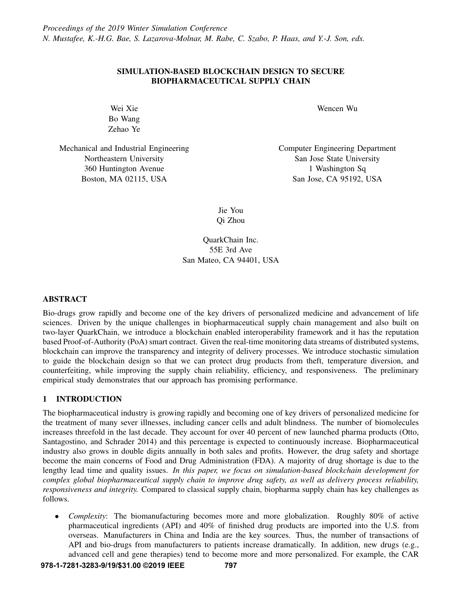# SIMULATION-BASED BLOCKCHAIN DESIGN TO SECURE BIOPHARMACEUTICAL SUPPLY CHAIN

Wei Xie Bo Wang Zehao Ye

Mechanical and Industrial Engineering Northeastern University 360 Huntington Avenue Boston, MA 02115, USA

Wencen Wu

Computer Engineering Department San Jose State University 1 Washington Sq San Jose, CA 95192, USA

Jie You Qi Zhou

QuarkChain Inc. 55E 3rd Ave San Mateo, CA 94401, USA

# ABSTRACT

Bio-drugs grow rapidly and become one of the key drivers of personalized medicine and advancement of life sciences. Driven by the unique challenges in biopharmaceutical supply chain management and also built on two-layer QuarkChain, we introduce a blockchain enabled interoperability framework and it has the reputation based Proof-of-Authority (PoA) smart contract. Given the real-time monitoring data streams of distributed systems, blockchain can improve the transparency and integrity of delivery processes. We introduce stochastic simulation to guide the blockchain design so that we can protect drug products from theft, temperature diversion, and counterfeiting, while improving the supply chain reliability, efficiency, and responsiveness. The preliminary empirical study demonstrates that our approach has promising performance.

# <span id="page-0-0"></span>1 INTRODUCTION

The biopharmaceutical industry is growing rapidly and becoming one of key drivers of personalized medicine for the treatment of many sever illnesses, including cancer cells and adult blindness. The number of biomolecules increases threefold in the last decade. They account for over 40 percent of new launched pharma products [\(Otto,](#page-11-0) [Santagostino, and Schrader 2014\)](#page-11-0) and this percentage is expected to continuously increase. Biopharmaceutical industry also grows in double digits annually in both sales and profits. However, the drug safety and shortage become the main concerns of Food and Drug Administration (FDA). A majority of drug shortage is due to the lengthy lead time and quality issues. *In this paper, we focus on simulation-based blockchain development for complex global biopharmaceutical supply chain to improve drug safety, as well as delivery process reliability, responsiveness and integrity.* Compared to classical supply chain, biopharma supply chain has key challenges as follows.

• *Complexity*: The biomanufacturing becomes more and more globalization. Roughly 80% of active pharmaceutical ingredients (API) and 40% of finished drug products are imported into the U.S. from overseas. Manufacturers in China and India are the key sources. Thus, the number of transactions of API and bio-drugs from manufacturers to patients increase dramatically. In addition, new drugs (e.g., advanced cell and gene therapies) tend to become more and more personalized. For example, the CAR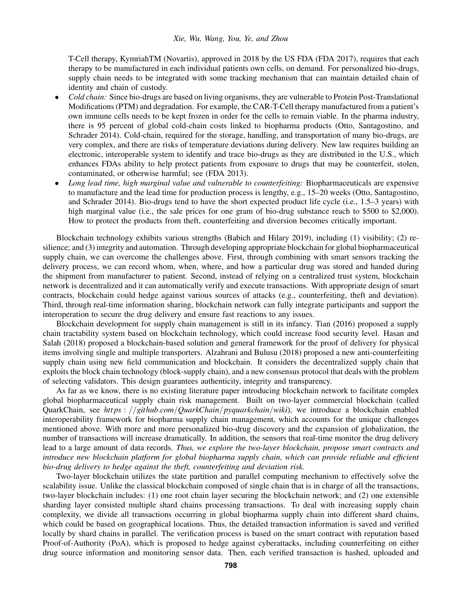T-Cell therapy, KymriahTM (Novartis), approved in 2018 by the US FDA [\(FDA 2017\)](#page-11-1), requires that each therapy to be manufactured in each individual patients own cells, on demand. For personalized bio-drugs, supply chain needs to be integrated with some tracking mechanism that can maintain detailed chain of identity and chain of custody.

- *Cold chain:* Since bio-drugs are based on living organisms, they are vulnerable to Protein Post-Translational Modifications (PTM) and degradation. For example, the CAR-T-Cell therapy manufactured from a patient's own immune cells needs to be kept frozen in order for the cells to remain viable. In the pharma industry, there is 95 percent of global cold-chain costs linked to biopharma products [\(Otto, Santagostino, and](#page-11-0) [Schrader 2014\)](#page-11-0). Cold-chain, required for the storage, handling, and transportation of many bio-drugs, are very complex, and there are risks of temperature deviations during delivery. New law requires building an electronic, interoperable system to identify and trace bio-drugs as they are distributed in the U.S., which enhances FDAs ability to help protect patients from exposure to drugs that may be counterfeit, stolen, contaminated, or otherwise harmful; see [\(FDA 2013\)](#page-11-2).
- *Long lead time, high marginal value and vulnerable to counterfeiting:* Biopharmaceuticals are expensive to manufacture and the lead time for production process is lengthy, e.g., 15–20 weeks [\(Otto, Santagostino,](#page-11-0) [and Schrader 2014\)](#page-11-0). Bio-drugs tend to have the short expected product life cycle (i.e., 1.5–3 years) with high marginal value (i.e., the sale prices for one gram of bio-drug substance reach to \$500 to \$2,000). How to protect the products from theft, counterfeiting and diversion becomes critically important.

Blockchain technology exhibits various strengths [\(Babich and Hilary 2019\)](#page-11-3), including (1) visibility; (2) resilience; and (3) integrity and automation. Through developing appropriate blockchain for global biopharmaceutical supply chain, we can overcome the challenges above. First, through combining with smart sensors tracking the delivery process, we can record whom, when, where, and how a particular drug was stored and handed during the shipment from manufacturer to patient. Second, instead of relying on a centralized trust system, blockchain network is decentralized and it can automatically verify and execute transactions. With appropriate design of smart contracts, blockchain could hedge against various sources of attacks (e.g., counterfeiting, theft and deviation). Third, through real-time information sharing, blockchain network can fully integrate participants and support the interoperation to secure the drug delivery and ensure fast reactions to any issues.

Blockchain development for supply chain management is still in its infancy. [Tian \(2016\)](#page-11-4) proposed a supply chain tractability system based on blockchain technology, which could increase food security level. [Hasan and](#page-11-5) [Salah \(2018\)](#page-11-5) proposed a blockchain-based solution and general framework for the proof of delivery for physical items involving single and multiple transporters. [Alzahrani and Bulusu \(2018\)](#page-11-6) proposed a new anti-counterfeiting supply chain using new field communication and blockchain. It considers the decentralized supply chain that exploits the block chain technology (block-supply chain), and a new consensus protocol that deals with the problem of selecting validators. This design guarantees authenticity, integrity and transparency.

As far as we know, there is no existing literature paper introducing blockchain network to facilitate complex global biopharmaceutical supply chain risk management. Built on two-layer commercial blockchain (called QuarkChain, see *htt ps* : //*github*.*com*/*QuarkChain*/*pyquarkchain*/*wiki*), we introduce a blockchain enabled interoperability framework for biopharma supply chain management, which accounts for the unique challenges mentioned above. With more and more personalized bio-drug discovery and the expansion of globalization, the number of transactions will increase dramatically. In addition, the sensors that real-time monitor the drug delivery lead to a large amount of data records. *Thus, we explore the two-layer blockchain, propose smart contracts and introduce new blockchain platform for global biopharma supply chain, which can provide reliable and efficient bio-drug delivery to hedge against the theft, counterfeiting and deviation risk.*

Two-layer blockchain utilizes the state partition and parallel computing mechanism to effectively solve the scalability issue. Unlike the classical blockchain composed of single chain that is in charge of all the transactions, two-layer blockchain includes: (1) one root chain layer securing the blockchain network; and (2) one extensible sharding layer consisted multiple shard chains processing transactions. To deal with increasing supply chain complexity, we divide all transactions occurring in global biopharma supply chain into different shard chains, which could be based on geographical locations. Thus, the detailed transaction information is saved and verified locally by shard chains in parallel. The verification process is based on the smart contract with reputation based Proof-of-Authority (PoA), which is proposed to hedge against cyberattacks, including counterfeiting on either drug source information and monitoring sensor data. Then, each verified transaction is hashed, uploaded and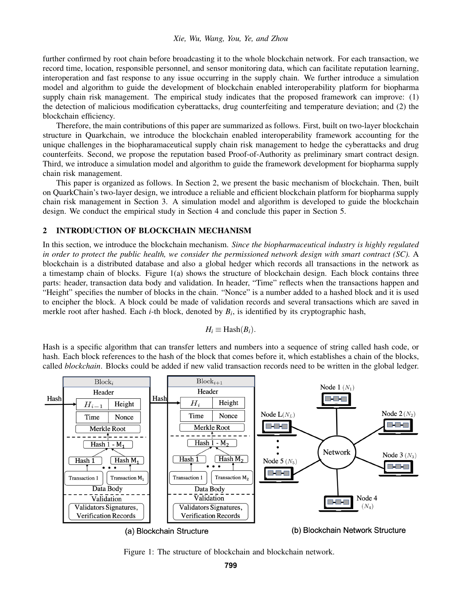## *Xie, Wu, Wang, You, Ye, and Zhou*

further confirmed by root chain before broadcasting it to the whole blockchain network. For each transaction, we record time, location, responsible personnel, and sensor monitoring data, which can facilitate reputation learning, interoperation and fast response to any issue occurring in the supply chain. We further introduce a simulation model and algorithm to guide the development of blockchain enabled interoperability platform for biopharma supply chain risk management. The empirical study indicates that the proposed framework can improve: (1) the detection of malicious modification cyberattacks, drug counterfeiting and temperature deviation; and (2) the blockchain efficiency.

Therefore, the main contributions of this paper are summarized as follows. First, built on two-layer blockchain structure in Quarkchain, we introduce the blockchain enabled interoperability framework accounting for the unique challenges in the biopharamaceutical supply chain risk management to hedge the cyberattacks and drug counterfeits. Second, we propose the reputation based Proof-of-Authority as preliminary smart contract design. Third, we introduce a simulation model and algorithm to guide the framework development for biopharma supply chain risk management.

This paper is organized as follows. In Section [2,](#page-2-0) we present the basic mechanism of blockchain. Then, built on QuarkChain's two-layer design, we introduce a reliable and efficient blockchain platform for biopharma supply chain risk management in Section [3.](#page-4-0) A simulation model and algorithm is developed to guide the blockchain design. We conduct the empirical study in Section [4](#page-8-0) and conclude this paper in Section [5.](#page-10-0)

## <span id="page-2-0"></span>2 INTRODUCTION OF BLOCKCHAIN MECHANISM

In this section, we introduce the blockchain mechanism. *Since the biopharmaceutical industry is highly regulated in order to protect the public health, we consider the permissioned network design with smart contract (SC).* A blockchain is a distributed database and also a global hedger which records all transactions in the network as a timestamp chain of blocks. Figure [1\(](#page-2-1)a) shows the structure of blockchain design. Each block contains three parts: header, transaction data body and validation. In header, "Time" reflects when the transactions happen and "Height" specifies the number of blocks in the chain. "Nonce" is a number added to a hashed block and it is used to encipher the block. A block could be made of validation records and several transactions which are saved in merkle root after hashed. Each *i*-th block, denoted by *B<sup>i</sup>* , is identified by its cryptographic hash,

<span id="page-2-2"></span>
$$
H_i \equiv \text{Hash}(B_i).
$$

Hash is a specific algorithm that can transfer letters and numbers into a sequence of string called hash code, or hash. Each block references to the hash of the block that comes before it, which establishes a chain of the blocks, called *blockchain*. Blocks could be added if new valid transaction records need to be written in the global ledger.



<span id="page-2-1"></span>Figure 1: The structure of blockchain and blockchain network.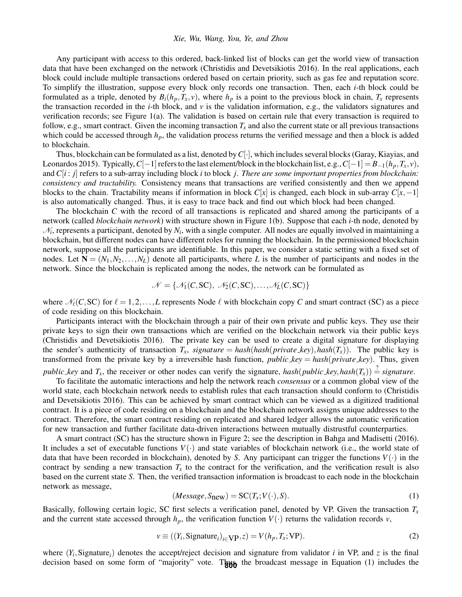#### *Xie, Wu, Wang, You, Ye, and Zhou*

Any participant with access to this ordered, back-linked list of blocks can get the world view of transaction data that have been exchanged on the network [\(Christidis and Devetsikiotis 2016\)](#page-11-7). In the real applications, each block could include multiple transactions ordered based on certain priority, such as gas fee and reputation score. To simplify the illustration, suppose every block only records one transaction. Then, each *i*-th block could be formulated as a triple, denoted by  $B_i(h_p, T_x, v)$ , where  $h_p$  is a point to the previous block in chain,  $T_x$  represents the transaction recorded in the *i*-th block, and  $\nu$  is the validation information, e.g., the validators signatures and verification records; see Figure [1\(](#page-2-1)a). The validation is based on certain rule that every transaction is required to follow, e.g., smart contract. Given the incoming transaction  $T_x$  and also the current state or all previous transactions which could be accessed through  $h_p$ , the validation process returns the verified message and then a block is added to blockchain.

Thus, blockchain can be formulated as a list, denoted by*C*[·], which includes several blocks [\(Garay, Kiayias, and](#page-11-8) [Leonardos 2015\)](#page-11-8). Typically,  $C[-1]$  refers to the last element/block in the blockchain list, e.g.,  $C[-1] = B_{-1}(h_p, T_x, v)$ , and *C*[*i* : *j*] refers to a sub-array including block *i* to block *j*. *There are some important properties from blockchain: consistency and tractability.* Consistency means that transactions are verified consistently and then we append blocks to the chain. Tractability means if information in block  $C[x]$  is changed, each block in sub-array  $C[x,-1]$ is also automatically changed. Thus, it is easy to trace back and find out which block had been changed.

The blockchain *C* with the record of all transactions is replicated and shared among the participants of a network (called *blockchain network*) with structure shown in Figure [1\(](#page-2-1)b). Suppose that each *i*-th node, denoted by  $\mathcal{N}_i$ , represents a participant, denoted by  $N_i$ , with a single computer. All nodes are equally involved in maintaining a blockchain, but different nodes can have different roles for running the blockchain. In the permissioned blockchain network, suppose all the participants are identifiable. In this paper, we consider a static setting with a fixed set of nodes. Let  $N = (N_1, N_2, \ldots, N_L)$  denote all participants, where *L* is the number of participants and nodes in the network. Since the blockchain is replicated among the nodes, the network can be formulated as

$$
\mathcal{N} = \{ \mathcal{N}_1(C, \text{SC}), \ \mathcal{N}_2(C, \text{SC}), \dots, \mathcal{N}_L(C, \text{SC}) \}
$$

where  $\mathcal{N}_\ell(C,SC)$  for  $\ell = 1,2,\ldots,L$  represents Node  $\ell$  with blockchain copy *C* and smart contract (SC) as a piece of code residing on this blockchain.

Participants interact with the blockchain through a pair of their own private and public keys. They use their private keys to sign their own transactions which are verified on the blockchain network via their public keys [\(Christidis and Devetsikiotis 2016\)](#page-11-7). The private key can be used to create a digital signature for displaying the sender's authenticity of transaction  $T_x$ , *signature* = *hash*(*hash*(*private\_key*),*hash*( $T_x$ )). The public key is transformed from the private key by a irreversible hash function, *public key* = *hash*(*private key*). Thus, given *public key* and  $T_x$ , the receiver or other nodes can verify the signature, *hash(public key, hash(T<sub>x</sub>))*  $\stackrel{?}{=}$  *signature*.

To facilitate the automatic interactions and help the network reach *consensus* or a common global view of the world state, each blockchain network needs to establish rules that each transaction should conform to [\(Christidis](#page-11-7) [and Devetsikiotis 2016\)](#page-11-7). This can be achieved by smart contract which can be viewed as a digitized traditional contract. It is a piece of code residing on a blockchain and the blockchain network assigns unique addresses to the contract. Therefore, the smart contract residing on replicated and shared ledger allows the automatic verification for new transaction and further facilitate data-driven interactions between mutually distrustful counterparties.

A smart contract (SC) has the structure shown in Figure [2;](#page-4-1) see the description in [Bahga and Madisetti \(2016\).](#page-11-9) It includes a set of executable functions  $V(\cdot)$  and state variables of blockchain network (i.e., the world state of data that have been recorded in blockchain), denoted by *S*. Any participant can trigger the functions  $V(\cdot)$  in the contract by sending a new transaction  $T_x$  to the contract for the verification, and the verification result is also based on the current state *S*. Then, the verified transaction information is broadcast to each node in the blockchain network as message,

$$
(Message, S_{new}) = SC(T_x; V(\cdot), S). \tag{1}
$$

Basically, following certain logic, SC first selects a verification panel, denoted by VP. Given the transaction *T<sup>x</sup>* and the current state accessed through  $h_p$ , the verification function  $V(\cdot)$  returns the validation records *v*,

<span id="page-3-0"></span>
$$
v \equiv ((Y_i, \text{Signature}_i)_{i \in \text{VP}}, z) = V(h_p, T_x; \text{VP}).
$$
\n(2)

where  $(Y_i,$  Signature<sub>*i*</sub>) denotes the accept/reject decision and signature from validator *i* in VP, and *z* is the final decision based on some form of "majority" vote. The broadcast message in Equation [\(1\)](#page-2-2) includes the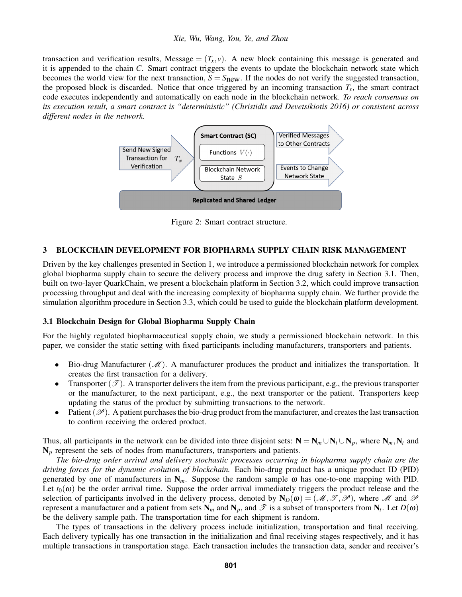#### *Xie, Wu, Wang, You, Ye, and Zhou*

transaction and verification results, Message =  $(T_x, v)$ . A new block containing this message is generated and it is appended to the chain *C*. Smart contract triggers the events to update the blockchain network state which becomes the world view for the next transaction,  $S = S<sub>new</sub>$ . If the nodes do not verify the suggested transaction, the proposed block is discarded. Notice that once triggered by an incoming transaction  $T<sub>x</sub>$ , the smart contract code executes independently and automatically on each node in the blockchain network. *To reach consensus on its execution result, a smart contract is "deterministic" [\(Christidis and Devetsikiotis 2016\)](#page-11-7) or consistent across different nodes in the network.*



<span id="page-4-1"></span>Figure 2: Smart contract structure.

# <span id="page-4-0"></span>3 BLOCKCHAIN DEVELOPMENT FOR BIOPHARMA SUPPLY CHAIN RISK MANAGEMENT

Driven by the key challenges presented in Section [1,](#page-0-0) we introduce a permissioned blockchain network for complex global biopharma supply chain to secure the delivery process and improve the drug safety in Section [3.1.](#page-4-2) Then, built on two-layer QuarkChain, we present a blockchain platform in Section [3.2,](#page-5-0) which could improve transaction processing throughput and deal with the increasing complexity of biopharma supply chain. We further provide the simulation algorithm procedure in Section [3.3,](#page-6-0) which could be used to guide the blockchain platform development.

#### <span id="page-4-2"></span>3.1 Blockchain Design for Global Biopharma Supply Chain

For the highly regulated biopharmaceutical supply chain, we study a permissioned blockchain network. In this paper, we consider the static setting with fixed participants including manufacturers, transporters and patients.

- Bio-drug Manufacturer  $(\mathcal{M})$ . A manufacturer produces the product and initializes the transportation. It creates the first transaction for a delivery.
- Transporter  $(\mathscr{T})$ . A transporter delivers the item from the previous participant, e.g., the previous transporter or the manufacturer, to the next participant, e.g., the next transporter or the patient. Transporters keep updating the status of the product by submitting transactions to the network.
- Patient ( $\mathscr{P}$ ). A patient purchases the bio-drug product from the manufacturer, and creates the last transaction to confirm receiving the ordered product.

Thus, all participants in the network can be divided into three disjoint sets:  $N = N_m \cup N_t \cup N_p$ , where  $N_m, N_t$  and  $N_p$  represent the sets of nodes from manufacturers, transporters and patients.

*The bio-drug order arrival and delivery stochastic processes occurring in biopharma supply chain are the driving forces for the dynamic evolution of blockchain.* Each bio-drug product has a unique product ID (PID) generated by one of manufacturers in  $N_m$ . Suppose the random sample  $\omega$  has one-to-one mapping with PID. Let  $t_0(\omega)$  be the order arrival time. Suppose the order arrival immediately triggers the product release and the selection of participants involved in the delivery process, denoted by  $N_D(\omega) = (M, \mathcal{T}, \mathcal{P})$ , where M and P represent a manufacturer and a patient from sets  $N_m$  and  $N_p$ , and  $\mathcal T$  is a subset of transporters from  $N_t$ . Let  $D(\omega)$ be the delivery sample path. The transportation time for each shipment is random.

The types of transactions in the delivery process include initialization, transportation and final receiving. Each delivery typically has one transaction in the initialization and final receiving stages respectively, and it has multiple transactions in transportation stage. Each transaction includes the transaction data, sender and receiver's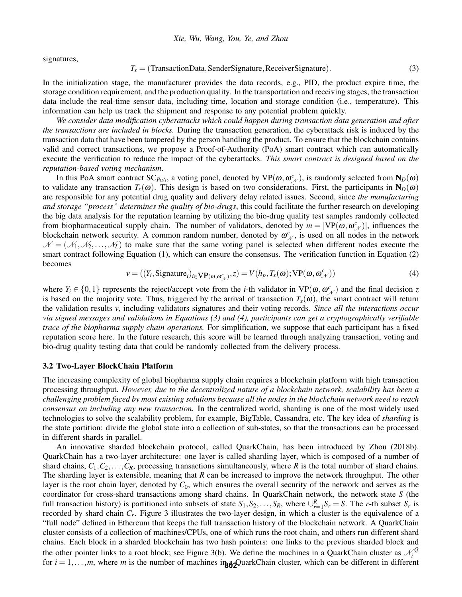signatures,

<span id="page-5-1"></span>
$$
T_x = (TransactionData,SenderSignature, ReceiverSignature). \tag{3}
$$

In the initialization stage, the manufacturer provides the data records, e.g., PID, the product expire time, the storage condition requirement, and the production quality. In the transportation and receiving stages, the transaction data include the real-time sensor data, including time, location and storage condition (i.e., temperature). This information can help us track the shipment and response to any potential problem quickly.

*We consider data modification cyberattacks which could happen during transaction data generation and after the transactions are included in blocks.* During the transaction generation, the cyberattack risk is induced by the transaction data that have been tampered by the person handling the product. To ensure that the blockchain contains valid and correct transactions, we propose a Proof-of-Authority (PoA) smart contract which can automatically execute the verification to reduce the impact of the cyberattacks. *This smart contract is designed based on the reputation-based voting mechanism*.

In this PoA smart contract SC<sub>*PoA*</sub>, a voting panel, denoted by VP( $\omega, \omega^c$ ), is randomly selected from N<sub>*D*</sub>( $\omega$ ) to validate any transaction  $T_x(\omega)$ . This design is based on two considerations. First, the participants in  $N_D(\omega)$ are responsible for any potential drug quality and delivery delay related issues. Second, since *the manufacturing and storage "process" determines the quality of bio-drugs*, this could facilitate the further research on developing the big data analysis for the reputation learning by utilizing the bio-drug quality test samples randomly collected from biopharmaceutical supply chain. The number of validators, denoted by  $m = |VP(\omega, \omega^c)$ , influences the blockchain network security. A common random number, denoted by  $\omega_{N}^{c}$ , is used on all nodes in the network  $\mathcal{N} = (\mathcal{N}_1,\mathcal{N}_2,\ldots,\mathcal{N}_L)$  to make sure that the same voting panel is selected when different nodes execute the smart contract following Equation [\(1\)](#page-2-2), which can ensure the consensus. The verification function in Equation [\(2\)](#page-3-0) becomes

<span id="page-5-2"></span>
$$
v = ((Y_i, \text{Signature}_i)_{i \in \text{VP}(\omega, \omega^c_{\mathcal{N}})}, z) = V(h_p, T_x(\omega); \text{VP}(\omega, \omega^c_{\mathcal{N}}))
$$
(4)

where  $Y_i \in \{0, 1\}$  represents the reject/accept vote from the *i*-th validator in  $VP(\omega, \omega^c)$  and the final decision *z* is based on the majority vote. Thus, triggered by the arrival of transaction  $T_x(\omega)$ , the smart contract will return the validation results *v*, including validators signatures and their voting records. *Since all the interactions occur via signed messages and validations in Equations [\(3\)](#page-5-1) and [\(4\)](#page-5-2), participants can get a cryptographically verifiable trace of the biopharma supply chain operations.* For simplification, we suppose that each participant has a fixed reputation score here. In the future research, this score will be learned through analyzing transaction, voting and bio-drug quality testing data that could be randomly collected from the delivery process.

#### <span id="page-5-0"></span>3.2 Two-Layer BlockChain Platform

The increasing complexity of global biopharma supply chain requires a blockchain platform with high transaction processing throughput. *However, due to the decentralized nature of a blockchain network, scalability has been a challenging problem faced by most existing solutions because all the nodes in the blockchain network need to reach consensus on including any new transaction.* In the centralized world, sharding is one of the most widely used technologies to solve the scalability problem, for example, BigTable, Cassandra, etc. The key idea of *sharding* is the state partition: divide the global state into a collection of sub-states, so that the transactions can be processed in different shards in parallel.

An innovative sharded blockchain protocol, called QuarkChain, has been introduced by [Zhou \(2018b\).](#page-11-10) QuarkChain has a two-layer architecture: one layer is called sharding layer, which is composed of a number of shard chains,  $C_1, C_2, \ldots, C_R$ , processing transactions simultaneously, where *R* is the total number of shard chains. The sharding layer is extensible, meaning that *R* can be increased to improve the network throughput. The other layer is the root chain layer, denoted by *C*0, which ensures the overall security of the network and serves as the coordinator for cross-shard transactions among shard chains. In QuarkChain network, the network state *S* (the full transaction history) is partitioned into subsets of state  $S_1, S_2, \ldots, S_R$ , where  $\cup_{r=1}^R S_r = S$ . The *r*-th subset  $S_r$  is recorded by shard chain *C<sup>r</sup>* . Figure [3](#page-6-1) illustrates the two-layer design, in which a cluster is the equivalence of a "full node" defined in Ethereum that keeps the full transaction history of the blockchain network. A QuarkChain cluster consists of a collection of machines/CPUs, one of which runs the root chain, and others run different shard chains. Each block in a sharded blockchain has two hash pointers: one links to the previous sharded block and the other pointer links to a root block; see Figure [3\(](#page-6-1)b). We define the machines in a QuarkChain cluster as  $\mathcal{N}_i^Q$ *i* for  $i = 1, \ldots, m$ , where *m* is the number of machines in a QuarkChain cluster, which can be different in different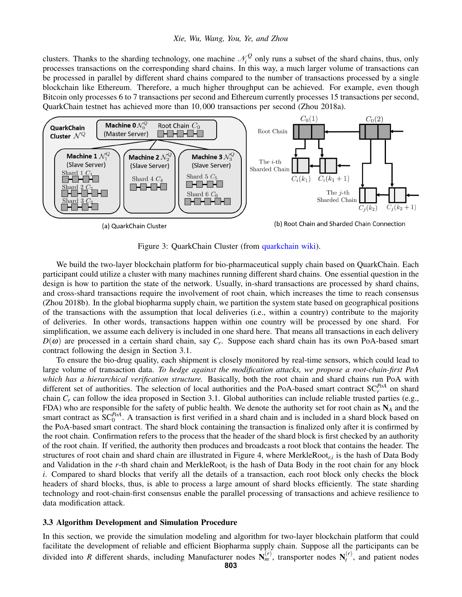clusters. Thanks to the sharding technology, one machine  $\mathcal{N}_i^Q$  $\hat{a}^Q$  only runs a subset of the shard chains, thus, only processes transactions on the corresponding shard chains. In this way, a much larger volume of transactions can be processed in parallel by different shard chains compared to the number of transactions processed by a single blockchain like Ethereum. Therefore, a much higher throughput can be achieved. For example, even though Bitcoin only processes 6 to 7 transactions per second and Ethereum currently processes 15 transactions per second, QuarkChain testnet has achieved more than 10,000 transactions per second [\(Zhou 2018a\)](#page-11-11).



(a) QuarkChain Cluster

(b) Root Chain and Sharded Chain Connection

<span id="page-6-1"></span>Figure 3: QuarkChain Cluster (from [quarkchain wiki\)](https://github.com/QuarkChain/pyquarkchain/wiki/Cluster-Design).

We build the two-layer blockchain platform for bio-pharmaceutical supply chain based on QuarkChain. Each participant could utilize a cluster with many machines running different shard chains. One essential question in the design is how to partition the state of the network. Usually, in-shard transactions are processed by shard chains, and cross-shard transactions require the involvement of root chain, which increases the time to reach consensus [\(Zhou 2018b\)](#page-11-10). In the global biopharma supply chain, we partition the system state based on geographical positions of the transactions with the assumption that local deliveries (i.e., within a country) contribute to the majority of deliveries. In other words, transactions happen within one country will be processed by one shard. For simplification, we assume each delivery is included in one shard here. That means all transactions in each delivery *D*(ω) are processed in a certain shard chain, say *C<sup>r</sup>* . Suppose each shard chain has its own PoA-based smart contract following the design in Section [3.1.](#page-4-2)

To ensure the bio-drug quality, each shipment is closely monitored by real-time sensors, which could lead to large volume of transaction data. *To hedge against the modification attacks, we propose a root-chain-first PoA which has a hierarchical verification structure.* Basically, both the root chain and shard chains run PoA with different set of authorities. The selection of local authorities and the PoA-based smart contract  $SC_r^{PoA}$  on shard chain  $C_r$  can follow the idea proposed in Section [3.1.](#page-4-2) Global authorities can include reliable trusted parties (e.g., FDA) who are responsible for the safety of public health. We denote the authority set for root chain as N*<sup>A</sup>* and the smart contract as  $SC_0^{PoA}$ . A transaction is first verified in a shard chain and is included in a shard block based on the PoA-based smart contract. The shard block containing the transaction is finalized only after it is confirmed by the root chain. Confirmation refers to the process that the header of the shard block is first checked by an authority of the root chain. If verified, the authority then produces and broadcasts a root block that contains the header. The structures of root chain and shard chain are illustrated in Figure [4,](#page-7-0) where MerkleRoot*r*,*<sup>i</sup>* is the hash of Data Body and Validation in the *r*-th shard chain and MerkleRoot*<sup>i</sup>* is the hash of Data Body in the root chain for any block *i*. Compared to shard blocks that verify all the details of a transaction, each root block only checks the block headers of shard blocks, thus, is able to process a large amount of shard blocks efficiently. The state sharding technology and root-chain-first consensus enable the parallel processing of transactions and achieve resilience to data modification attack.

## <span id="page-6-0"></span>3.3 Algorithm Development and Simulation Procedure

In this section, we provide the simulation modeling and algorithm for two-layer blockchain platform that could facilitate the development of reliable and efficient Biopharma supply chain. Suppose all the participants can be divided into *R* different shards, including Manufacturer nodes  $N_m^{(r)}$ , transporter nodes  $N_t^{(r)}$  $t^{(r)}$ , and patient nodes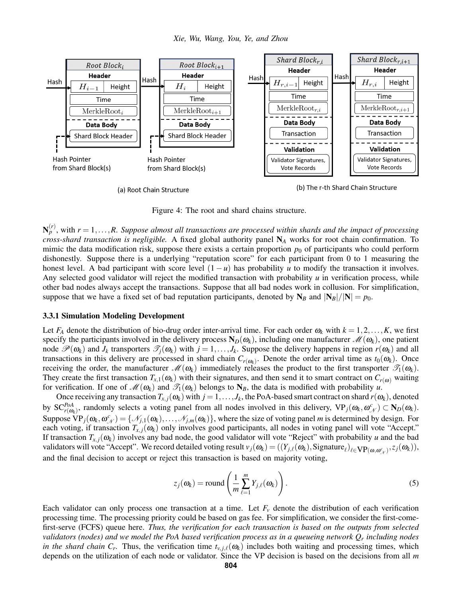

<span id="page-7-0"></span>Figure 4: The root and shard chains structure.

 $\mathbf{N}_{p}^{(r)}$ , with  $r = 1, \ldots, R$ . Suppose almost all transactions are processed within shards and the impact of processing *cross-shard transaction is negligible.* A fixed global authority panel N*<sup>A</sup>* works for root chain confirmation. To mimic the data modification risk, suppose there exists a certain proportion  $p_0$  of participants who could perform dishonestly. Suppose there is a underlying "reputation score" for each participant from 0 to 1 measuring the honest level. A bad participant with score level  $(1 - u)$  has probability *u* to modify the transaction it involves. Any selected good validator will reject the modified transaction with probability  $u$  in verification process, while other bad nodes always accept the transactions. Suppose that all bad nodes work in collusion. For simplification, suppose that we have a fixed set of bad reputation participants, denoted by  $N_B$  and  $|N_B|/|N| = p_0$ .

#### 3.3.1 Simulation Modeling Development

Let  $F_A$  denote the distribution of bio-drug order inter-arrival time. For each order  $\omega_k$  with  $k = 1, 2, \ldots, K$ , we first specify the participants involved in the delivery process  $N_D(\omega_k)$ , including one manufacturer  $\mathcal{M}(\omega_k)$ , one patient node  $\mathcal{P}(\omega_k)$  and  $J_k$  transporters  $\mathcal{T}_j(\omega_k)$  with  $j = 1, \ldots, J_k$ . Suppose the delivery happens in region  $r(\omega_k)$  and all transactions in this delivery are processed in shard chain  $C_{r(\omega_k)}$ . Denote the order arrival time as  $t_0(\omega_k)$ . Once receiving the order, the manufacturer  $\mathcal{M}(\omega_k)$  immediately releases the product to the first transporter  $\mathcal{T}_1(\omega_k)$ . They create the first transaction  $T_{x,1}(\omega_k)$  with their signatures, and then send it to smart contract on  $C_{r(\omega)}$  waiting for verification. If one of  $\mathcal{M}(\omega_k)$  and  $\mathcal{T}_1(\omega_k)$  belongs to  $N_B$ , the data is modified with probability *u*.

Once receiving any transaction  $T_{x,j}(\omega_k)$  with  $j=1,\ldots,J_k$ , the PoA-based smart contract on shard  $r(\omega_k)$ , denoted by  $SC^{PoA}_{r(\omega_k)}$ , randomly selects a voting panel from all nodes involved in this delivery,  $VP_j(\omega_k, \omega_N^c) \subset N_D(\omega_k)$ . Suppose  $\overline{VP}_j(\omega_k, \omega^c_{\mathcal{N}}) = \{\mathcal{N}_{j,1}(\omega_k), \dots, \mathcal{N}_{j,m}(\omega_k)\}\$ , where the size of voting panel *m* is determined by design. For each voting, if transaction  $T_{x,j}(\omega_k)$  only involves good participants, all nodes in voting panel will vote "Accept." If transaction  $T_{x,i}(\omega_k)$  involves any bad node, the good validator will vote "Reject" with probability *u* and the bad validators will vote "Accept". We record detailed voting result  $v_j(\omega_k) = ((Y_{j,\ell}(\omega_k), \text{Sigmaure}_{\ell})_{\ell \in \text{VP}(\omega, \omega_{\mathcal{N}}^c)}, z_j(\omega_k)),$ and the final decision to accept or reject this transaction is based on majority voting,

<span id="page-7-1"></span>
$$
z_j(\boldsymbol{\omega}_k) = \text{round}\left(\frac{1}{m} \sum_{\ell=1}^m Y_{j,\ell}(\boldsymbol{\omega}_k)\right).
$$
\n(5)

Each validator can only process one transaction at a time. Let  $F_\nu$  denote the distribution of each verification processing time. The processing priority could be based on gas fee. For simplification, we consider the first-comefirst-serve (FCFS) queue here. *Thus, the verification for each transaction is based on the outputs from selected validators (nodes) and we model the PoA based verification process as in a queueing network Q<sup>r</sup> including nodes in the shard chain*  $C_r$ . Thus, the verification time  $t_{v,j,\ell}(\omega_k)$  includes both waiting and processing times, which depends on the utilization of each node or validator. Since the VP decision is based on the decisions from all *m*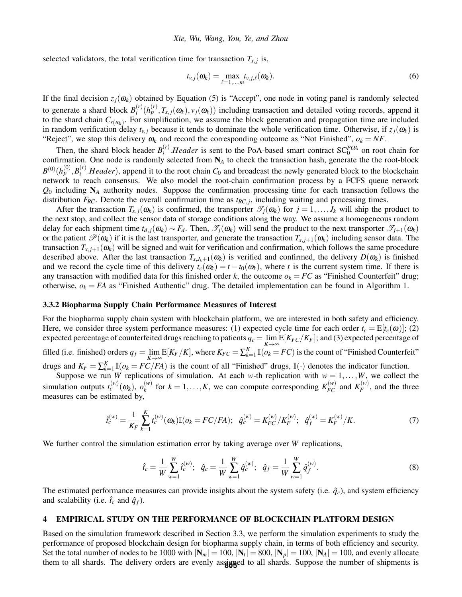selected validators, the total verification time for transaction  $T_{x,j}$  is,

<span id="page-8-1"></span>
$$
t_{v,j}(\boldsymbol{\omega}_k) = \max_{\ell=1,\dots,m} t_{v,j,\ell}(\boldsymbol{\omega}_k). \tag{6}
$$

If the final decision  $z_i(\omega_k)$  obtained by Equation [\(5\)](#page-7-1) is "Accept", one node in voting panel is randomly selected to generate a shard block  $B_i^{(r)}$  $f_i^{(r)}(h_p^{(r)}, T_{x,j}(\omega_k), v_j(\omega_k))$  including transaction and detailed voting records, append it to the shard chain  $C_{r(\omega_k)}$ . For simplification, we assume the block generation and propagation time are included in random verification delay  $t_{v,j}$  because it tends to dominate the whole verification time. Otherwise, if  $z_j(\omega_k)$  is "Reject", we stop this delivery  $\omega_k$  and record the corresponding outcome as "Not Finished",  $o_k = NF$ .

Then, the shard block header  $B_i^{(r)}$  $i<sup>(r)</sup>$ . *Header* is sent to the PoA-based smart contract SC<sup>*POA*</sup> on root chain for confirmation. One node is randomly selected from N*<sup>A</sup>* to check the transaction hash, generate the the root-block  $B^{(0)}(h^{(0)}_p,B^{(r)}_i)$  $I_i^{(r)}$ .*Header*), append it to the root chain  $C_0$  and broadcast the newly generated block to the blockchain network to reach consensus. We also model the root-chain confirmation process by a FCFS queue network *Q*<sup>0</sup> including N*<sup>A</sup>* authority nodes. Suppose the confirmation processing time for each transaction follows the distribution  $F_{RC}$ . Denote the overall confirmation time as  $t_{RC,j}$ , including waiting and processing times.

After the transaction  $T_{x,j}(\omega_k)$  is confirmed, the transporter  $\mathcal{T}_j(\omega_k)$  for  $j = 1, \ldots, J_k$  will ship the product to the next stop, and collect the sensor data of storage conditions along the way. We assume a homogeneous random delay for each shipment time  $t_{d,j}(\omega_k) \sim F_d$ . Then,  $\mathcal{T}_j(\omega_k)$  will send the product to the next transporter  $\mathcal{T}_{j+1}(\omega_k)$ or the patient  $\mathcal{P}(\omega_k)$  if it is the last transporter, and generate the transaction  $T_{x,i+1}(\omega_k)$  including sensor data. The transaction  $T_{x,i+1}(\omega_k)$  will be signed and wait for verification and confirmation, which follows the same procedure described above. After the last transaction  $T_{x,J_k+1}(\omega_k)$  is verified and confirmed, the delivery  $D(\omega_k)$  is finished and we record the cycle time of this delivery  $t_c(\omega_k) = t - t_0(\omega_k)$ , where *t* is the current system time. If there is any transaction with modified data for this finished order *k*, the outcome  $o_k = FC$  as "Finished Counterfeit" drug; otherwise,  $o_k = FA$  as "Finished Authentic" drug. The detailed implementation can be found in Algorithm [1.](#page-9-0)

#### 3.3.2 Biopharma Supply Chain Performance Measures of Interest

For the biopharma supply chain system with blockchain platform, we are interested in both safety and efficiency. Here, we consider three system performance measures: (1) expected cycle time for each order  $t_c = E[t_c(\omega)]$ ; (2) expected percentage of counterfeited drugs reaching to patients  $q_c = \lim_{K \to \infty} E[K_{FC}/K_F]$ ; and (3) expected percentage of filled (i.e. finished) orders  $q_f = \lim_{K \to \infty} E[K_F/K]$ , where  $K_{FC} = \sum_{k=1}^{K} \mathbb{I}(o_k = FC)$  is the count of "Finished Counterfeit" drugs and  $K_F = \sum_{k=1}^{K} \mathbb{I}(o_k = FC/FA)$  is the count of all "Finished" drugs,  $\mathbb{I}(\cdot)$  denotes the indicator function.

Suppose we run *W* replications of simulation. At each *w*-th replication with  $w = 1, ..., W$ , we collect the simulation outputs  $t_c^{(w)}(ω_k)$ ,  $o_k^{(w)}$  $f_k^{(w)}$  for  $k = 1, ..., K$ , we can compute corresponding  $K_{FC}^{(w)}$  and  $K_F^{(w)}$  $F_F^{(W)}$ , and the three measures can be estimated by,

$$
\hat{t}_c^{(w)} = \frac{1}{K_F} \sum_{k=1}^K t_c^{(w)}(\omega_k) \mathbb{I}(o_k = FC/FA); \quad \hat{q}_c^{(w)} = K_{FC}^{(w)}/K_F^{(w)}; \quad \hat{q}_f^{(w)} = K_F^{(w)}/K. \tag{7}
$$

We further control the simulation estimation error by taking average over *W* replications,

<span id="page-8-2"></span>
$$
\hat{t}_c = \frac{1}{W} \sum_{w=1}^{W} \hat{t}_c^{(w)}; \quad \hat{q}_c = \frac{1}{W} \sum_{w=1}^{W} \hat{q}_c^{(w)}; \quad \hat{q}_f = \frac{1}{W} \sum_{w=1}^{W} \hat{q}_f^{(w)}.
$$
\n(8)

The estimated performance measures can provide insights about the system safety (i.e.  $\hat{q}_c$ ), and system efficiency and scalability (i.e.  $\hat{t}_c$  and  $\hat{q}_f$ ).

#### <span id="page-8-0"></span>4 EMPIRICAL STUDY ON THE PERFORMANCE OF BLOCKCHAIN PLATFORM DESIGN

Based on the simulation framework described in Section [3.3,](#page-6-0) we perform the simulation experiments to study the performance of proposed blockchain design for biopharma supply chain, in terms of both efficiency and security. Set the total number of nodes to be 1000 with  $|\mathbf{N}_m|=100, |\mathbf{N}_t|=800, |\mathbf{N}_p|=100, |\mathbf{N}_A|=100,$  and evenly allocate them to all shards. The delivery orders are evenly assigned to all shards. Suppose the number of shipments is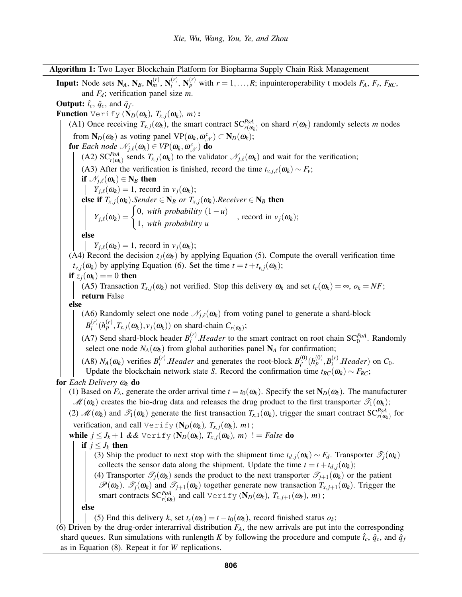Algorithm 1: Two Layer Blockchain Platform for Biopharma Supply Chain Risk Management

<span id="page-9-0"></span>Input: Node sets  $N_A$ ,  $N_B$ ,  $N_m^{(r)}$ ,  $N_t^{(r)}$  $f_t^{(r)}$ ,  $N_p^{(r)}$  with  $r = 1, \ldots, R$ ; inpuinteroperability t models  $F_A$ ,  $F_v$ ,  $F_{RC}$ , and *Fd*; verification panel size *m*.

**Output:**  $\hat{t}_c$ ,  $\hat{q}_c$ , and  $\hat{q}_f$ .

**Function** Verify ( $\mathbf{N}_D(\omega_k)$ ,  $T_{x,j}(\omega_k)$ , *m*):

(A1) Once receiving  $T_{x,j}(\omega_k)$ , the smart contract  $SC^{PoA}_{r(\omega_k)}$  on shard  $r(\omega_k)$  randomly selects *m* nodes from  $N_D(\omega_k)$  as voting panel  $VP(\omega_k, \omega_{\mathcal{N}}^c) \subset N_D(\omega_k)$ ;

for *Each node*  $\mathcal{N}_{j,\ell}(\omega_k) \in VP(\omega_k, \omega^c_{\mathcal{N}})$  do

(A2)  $SC^{PoA}_{r(\omega_k)}$  sends  $T_{x,j}(\omega_k)$  to the validator  $\mathcal{N}_{j,\ell}(\omega_k)$  and wait for the verification;

(A3) After the verification is finished, record the time  $t_{v,j,\ell}(\omega_k) \sim F_v$ ;

if  $\mathcal{N}_{j,\ell}(\omega_k) \in N_B$  then

 $Y_{i,\ell}(\omega_k) = 1$ , record in  $v_j(\omega_k)$ ;

else if  $T_{x,j}(\omega_k)$ . Sender  $\in \mathbb{N}_B$  or  $T_{x,j}(\omega_k)$ . Receiver  $\in \mathbb{N}_B$  then  $Y_{j,\ell}(\omega_k) = \begin{cases} 0, & \text{with probability } (1-u) \\ 1, & \text{if } u \neq 0 \end{cases}$ 1, *with probability u*, record in  $v_j(\omega_k)$ ;

else

 $Y_{i,\ell}(\omega_k) = 1$ , record in  $v_i(\omega_k)$ ;

(A4) Record the decision  $z_i(\omega_k)$  by applying Equation [\(5\)](#page-7-1). Compute the overall verification time  $t_{v,i}(\omega_k)$  by applying Equation [\(6\)](#page-8-1). Set the time  $t = t + t_{v,i}(\omega_k)$ ;

if  $z_i(\omega_k) == 0$  then

(A5) Transaction  $T_{x,j}(\omega_k)$  not verified. Stop this delivery  $\omega_k$  and set  $t_c(\omega_k) = \infty$ ,  $o_k = NF$ ; return False

else

(A6) Randomly select one node  $\mathcal{N}_{j,\ell}(\omega_k)$  from voting panel to generate a shard-block  $B_i^{(r)}$  $\binom{r}{i}$  ( $h_p^{(r)}$ ,  $T_{x,j}(\omega_k)$ ,  $v_j(\omega_k)$ ) on shard-chain  $C_{r(\omega_k)}$ ;

(A7) Send shard-block header  $B_i^{(r)}$  $i<sup>(r)</sup>$ . *Header* to the smart contract on root chain SC<sup>*PoA*</sup>. Randomly select one node  $N_A(\omega_k)$  from global authorities panel  $N_A$  for confirmation;

(A8)  $N_A(\omega_k)$  verifies  $B_i^{(r)}$  $\mathbf{F}_i^{(r)}$ .*Header* and generates the root-block  $B_{i'}^{(0)}$  $j^{(0)}_{i'}(h^{(0)}_p,B^{(r)}_i)$  $L_i^{(r)}$ .*Header*) on  $C_0$ .

Update the blockchain network state *S*. Record the confirmation time  $t_{RC}(\omega_k) \sim F_{RC}$ 

for *Each Delivery* ω*<sup>k</sup>* do

(1) Based on  $F_A$ , generate the order arrival time  $t = t_0(\omega_k)$ . Specify the set  $N_D(\omega_k)$ . The manufacturer  $\mathcal{M}(\omega_k)$  creates the bio-drug data and releases the drug product to the first transporter  $\mathcal{T}_1(\omega_k)$ ;

(2)  $\mathcal{M}(\omega_k)$  and  $\mathcal{T}_1(\omega_k)$  generate the first transaction  $T_{x,1}(\omega_k)$ , trigger the smart contract  $SC^{PoA}_{r(\omega_k)}$  for verification, and call  $\forall$ erify( $N_D(\omega_k)$ ,  $T_{x,i}(\omega_k)$ , *m*);

while  $j \leq J_k + 1$  & & Verify ( $\mathbf{N}_D(\omega_k)$ *,*  $T_{x,j}(\omega_k)$ *, m*) ! = *False* do

# if  $j \leq J_k$  then

(3) Ship the product to next stop with the shipment time  $t_{d,j}(\omega_k) \sim F_d$ . Transporter  $\mathcal{T}_j(\omega_k)$ collects the sensor data along the shipment. Update the time  $t = t + t_{d,i}(\omega_k)$ ;

(4) Transporter  $\mathcal{T}_i(\omega_k)$  sends the product to the next transporter  $\mathcal{T}_{j+1}(\omega_k)$  or the patient  $\mathscr{P}(\omega_k)$ .  $\mathscr{T}_j(\omega_k)$  and  $\mathscr{T}_{j+1}(\omega_k)$  together generate new transaction  $T_{x,j+1}(\omega_k)$ . Trigger the smart contracts  $\mathrm{SC}_{r(\omega_{k})}^{PoA}$  and call  $\text{Verify } (\mathbf{N}_{D}(\omega_{k}), \ T_{x, j+1}(\omega_{k}), \ m)$ ;

else

(5) End this delivery *k*, set  $t_c(\omega_k) = t - t_0(\omega_k)$ , record finished status  $\omega_k$ ;

(6) Driven by the drug-order interarrival distribution  $F_A$ , the new arrivals are put into the corresponding shard queues. Run simulations with runlength *K* by following the procedure and compute  $\hat{t}_c$ ,  $\hat{q}_c$ , and  $\hat{q}_f$ as in Equation [\(8\)](#page-8-2). Repeat it for *W* replications.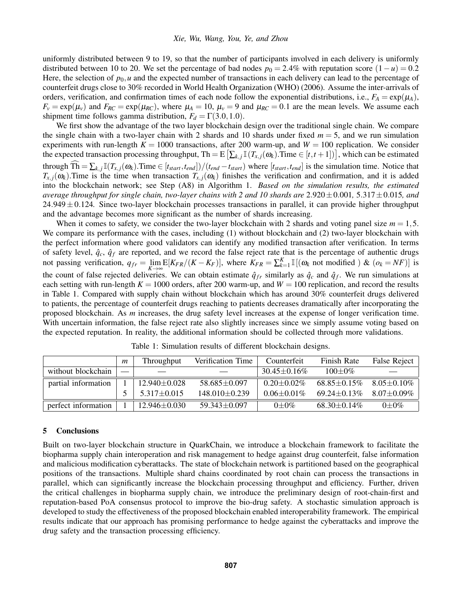uniformly distributed between 9 to 19, so that the number of participants involved in each delivery is uniformly distributed between 10 to 20. We set the percentage of bad nodes  $p_0 = 2.4\%$  with reputation score  $(1 - u) = 0.2$ Here, the selection of  $p_0$ , u and the expected number of transactions in each delivery can lead to the percentage of counterfeit drugs close to 30% recorded in [World Health Organization \(WHO\) \(2006\).](#page-11-12) Assume the inter-arrivals of orders, verification, and confirmation times of each node follow the exponential distributions, i.e.,  $F_A = \exp(\mu_A)$ ,  $F_v = \exp(\mu_v)$  and  $F_{RC} = \exp(\mu_{RC})$ , where  $\mu_A = 10$ ,  $\mu_v = 9$  and  $\mu_{RC} = 0.1$  are the mean levels. We assume each shipment time follows gamma distribution,  $F_d = \Gamma(3.0, 1.0)$ .

We first show the advantage of the two layer blockchain design over the traditional single chain. We compare the single chain with a two-layer chain with 2 shards and 10 shards under fixed *m* = 5, and we run simulation experiments with run-length  $K = 1000$  transactions, after 200 warm-up, and  $W = 100$  replication. We consider the expected transaction processing throughput, Th = E  $[\sum_{k,j}$  II( $T_{x,j}(\omega_k)$ ). Time  $\in$   $[t, t+1]$ ), which can be estimated through  $\widehat{\text{Th}} = \sum_{k,j} \mathbb{I}(T_{x,j}(\omega_k))$ . Time  $\in [t_{start}, t_{end}]/(t_{end} - t_{start})$  where  $[t_{start}, t_{end}]$  is the simulation time. Notice that  $T_{x,i}(\omega_k)$ . Time is the time when transaction  $T_{x,i}(\omega_k)$  finishes the verification and confirmation, and it is added into the blockchain network; see Step (A8) in Algorithm [1.](#page-9-0) *Based on the simulation results, the estimated average throughput for single chain, two-layer chains with 2 and 10 shards are*  $2.920 \pm 0.001$ ,  $5.317 \pm 0.015$ *, and*  $24.949 \pm 0.124$ . Since two-layer blockchain processes transactions in parallel, it can provide higher throughput and the advantage becomes more significant as the number of shards increasing.

When it comes to safety, we consider the two-layer blockchain with 2 shards and voting panel size  $m = 1, 5$ . We compare its performance with the cases, including (1) without blockchain and (2) two-layer blockchain with the perfect information where good validators can identify any modified transaction after verification. In terms of safety level,  $\hat{q}_c$ ,  $\hat{q}_f$  are reported, and we record the false reject rate that is the percentage of authentic drugs not passing verification,  $q_{fr} = \lim_{K \to \infty} E[K_{FR}/(K - K_F)]$ , where  $K_{FR} = \sum_{k=1}^{K} \mathbb{I}[(\omega_k \text{ not modified}) \& (\omega_k = NF)]$  is the count of false rejected deliveries. We can obtain estimate  $\hat{q}_{fr}$  similarly as  $\hat{q}_c$  and  $\hat{q}_f$ . We run simulations at each setting with run-length  $K = 1000$  orders, after 200 warm-up, and  $W = 100$  replication, and record the results in Table [1.](#page-10-1) Compared with supply chain without blockchain which has around 30% counterfeit drugs delivered to patients, the percentage of counterfeit drugs reaching to patients decreases dramatically after incorporating the proposed blockchain. As *m* increases, the drug safety level increases at the expense of longer verification time. With uncertain information, the false reject rate also slightly increases since we simply assume voting based on the expected reputation. In reality, the additional information should be collected through more validations.

|                     | $\mathfrak{m}$ | Throughput         | Verification Time   | Counterfeit        | Finish Rate        | False Reject    |
|---------------------|----------------|--------------------|---------------------|--------------------|--------------------|-----------------|
| without blockchain  |                |                    |                     | $30.45 \pm 0.16\%$ | $100+0\%$          |                 |
| partial information |                | $12.940 \pm 0.028$ | $58.685 + 0.097$    | $0.20 \pm 0.02\%$  | $68.85 + 0.15\%$   | $8.05 + 0.10\%$ |
|                     |                | $5.317 \pm 0.015$  | $148.010 \pm 0.239$ | $0.06 + 0.01\%$    | $69.24 \pm 0.13\%$ | $8.07 + 0.09\%$ |
| perfect information |                | $12.946 \pm 0.030$ | $59.343 \pm 0.097$  | $0+0\%$            | $68.30 \pm 0.14\%$ | $0 \pm 0\%$     |

<span id="page-10-1"></span>Table 1: Simulation results of different blockchain designs.

## <span id="page-10-0"></span>5 Conclusions

Built on two-layer blockchain structure in QuarkChain, we introduce a blockchain framework to facilitate the biopharma supply chain interoperation and risk management to hedge against drug counterfeit, false information and malicious modification cyberattacks. The state of blockchain network is partitioned based on the geographical positions of the transactions. Multiple shard chains coordinated by root chain can process the transactions in parallel, which can significantly increase the blockchain processing throughput and efficiency. Further, driven the critical challenges in biopharma supply chain, we introduce the preliminary design of root-chain-first and reputation-based PoA consensus protocol to improve the bio-drug safety. A stochastic simulation approach is developed to study the effectiveness of the proposed blockchain enabled interoperability framework. The empirical results indicate that our approach has promising performance to hedge against the cyberattacks and improve the drug safety and the transaction processing efficiency.